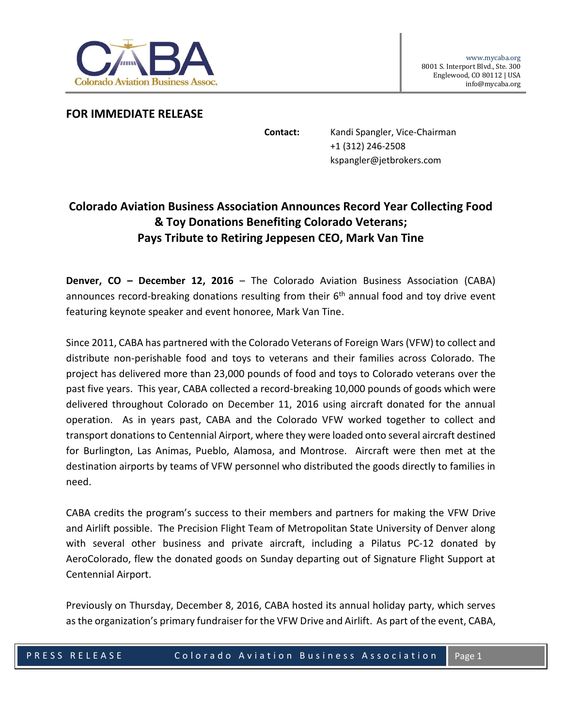

**FOR IMMEDIATE RELEASE**

**Contact:** Kandi Spangler, Vice-Chairman +1 (312) 246-2508 kspangler@jetbrokers.com

## **Colorado Aviation Business Association Announces Record Year Collecting Food & Toy Donations Benefiting Colorado Veterans; Pays Tribute to Retiring Jeppesen CEO, Mark Van Tine**

**Denver, CO – December 12, 2016** – The Colorado Aviation Business Association (CABA) announces record-breaking donations resulting from their  $6<sup>th</sup>$  annual food and toy drive event featuring keynote speaker and event honoree, Mark Van Tine.

Since 2011, CABA has partnered with the Colorado Veterans of Foreign Wars (VFW) to collect and distribute non-perishable food and toys to veterans and their families across Colorado. The project has delivered more than 23,000 pounds of food and toys to Colorado veterans over the past five years. This year, CABA collected a record-breaking 10,000 pounds of goods which were delivered throughout Colorado on December 11, 2016 using aircraft donated for the annual operation. As in years past, CABA and the Colorado VFW worked together to collect and transport donations to Centennial Airport, where they were loaded onto several aircraft destined for Burlington, Las Animas, Pueblo, Alamosa, and Montrose. Aircraft were then met at the destination airports by teams of VFW personnel who distributed the goods directly to families in need.

CABA credits the program's success to their members and partners for making the VFW Drive and Airlift possible. The Precision Flight Team of Metropolitan State University of Denver along with several other business and private aircraft, including a Pilatus PC-12 donated by AeroColorado, flew the donated goods on Sunday departing out of Signature Flight Support at Centennial Airport.

Previously on Thursday, December 8, 2016, CABA hosted its annual holiday party, which serves as the organization's primary fundraiser for the VFW Drive and Airlift. As part of the event, CABA,